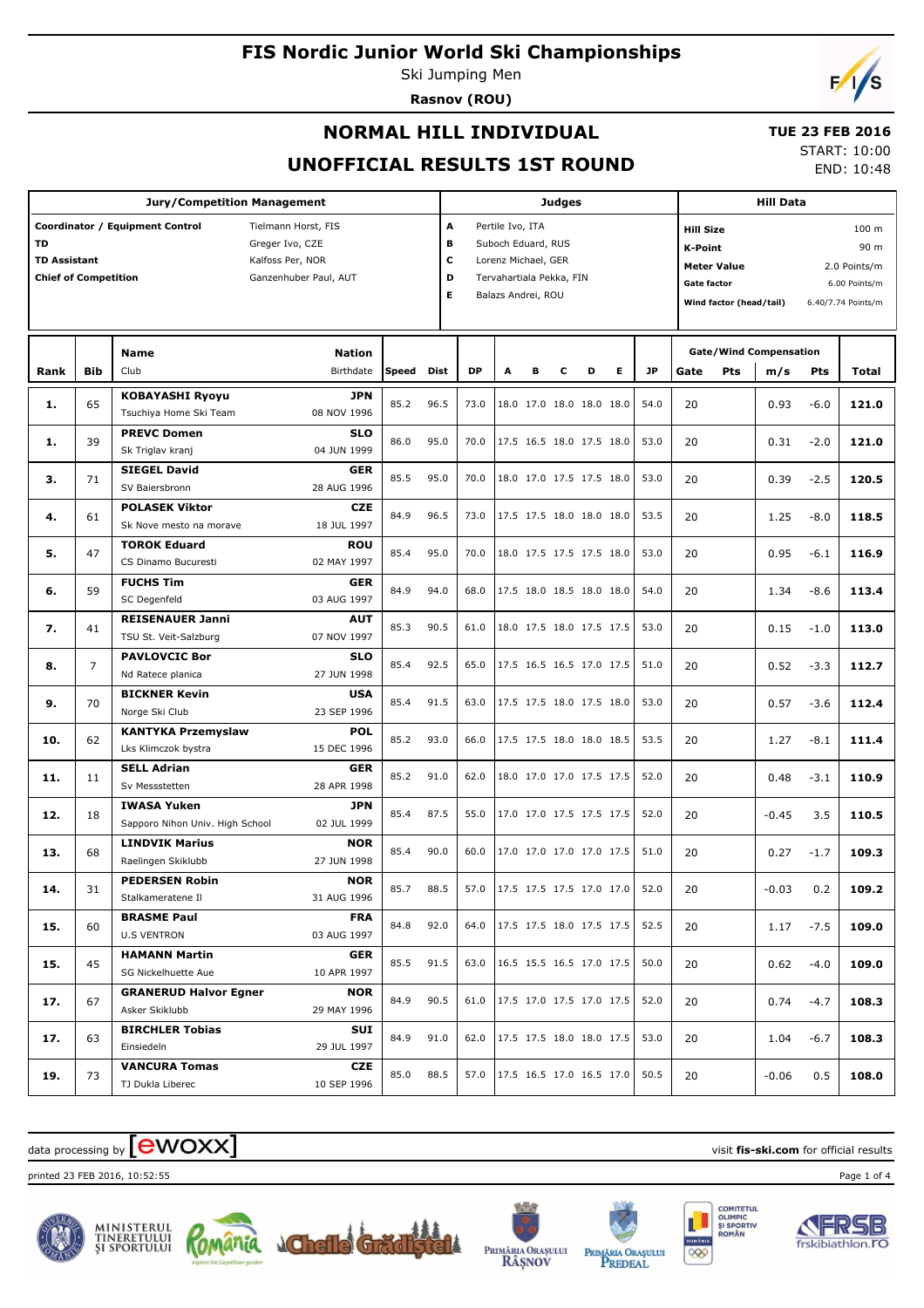Ski Jumping Men **Rasnov (ROU)**

 $\sqrt{2}$ 

## **NORMAL HILL INDIVIDUAL**

#### **TUE 23 FEB 2016**

**UNOFFICIAL RESULTS 1ST ROUND**

START: 10:00 END: 10:48

| <b>Jury/Competition Management</b>                          |                |                                 |                       |           |                         |                                 | <b>Judges</b>            |   |   |                          |                        |                                    |                                     | <b>Hill Data</b>        |                               |            |                    |  |
|-------------------------------------------------------------|----------------|---------------------------------|-----------------------|-----------|-------------------------|---------------------------------|--------------------------|---|---|--------------------------|------------------------|------------------------------------|-------------------------------------|-------------------------|-------------------------------|------------|--------------------|--|
| A<br>Coordinator / Equipment Control<br>Tielmann Horst, FIS |                |                                 |                       |           |                         |                                 | Pertile Ivo, ITA         |   |   |                          |                        |                                    | <b>Hill Size</b>                    |                         |                               |            | 100 <sub>m</sub>   |  |
| <b>TD</b><br>Greger Ivo, CZE                                |                |                                 |                       |           | в<br>Suboch Eduard, RUS |                                 |                          |   |   |                          | <b>K-Point</b><br>90 m |                                    |                                     |                         |                               |            |                    |  |
| <b>TD Assistant</b><br>Kalfoss Per, NOR                     |                |                                 |                       |           |                         | с<br>Lorenz Michael, GER        |                          |   |   |                          |                        | <b>Meter Value</b><br>2.0 Points/m |                                     |                         |                               |            |                    |  |
| <b>Chief of Competition</b>                                 |                |                                 | Ganzenhuber Paul, AUT |           | D                       |                                 | Tervahartiala Pekka, FIN |   |   |                          |                        |                                    | <b>Gate factor</b><br>6.00 Points/m |                         |                               |            |                    |  |
|                                                             |                |                                 |                       |           | Е                       |                                 | Balazs Andrei, ROU       |   |   |                          |                        |                                    |                                     | Wind factor (head/tail) |                               |            | 6.40/7.74 Points/m |  |
|                                                             |                |                                 |                       |           |                         |                                 |                          |   |   |                          |                        |                                    |                                     |                         |                               |            |                    |  |
|                                                             |                |                                 |                       |           |                         |                                 |                          |   |   |                          |                        |                                    |                                     |                         |                               |            |                    |  |
|                                                             |                | <b>Name</b>                     | <b>Nation</b>         |           |                         |                                 |                          |   |   |                          |                        |                                    |                                     |                         | <b>Gate/Wind Compensation</b> |            |                    |  |
| Rank                                                        | <b>Bib</b>     | Club                            | Birthdate             | Speed     | Dist                    | <b>DP</b>                       | A                        | в | c | D                        | Е                      | <b>JP</b>                          | Gate                                | Pts                     | m/s                           | <b>Pts</b> | Total              |  |
| 1.                                                          | 65             | <b>KOBAYASHI Ryoyu</b>          | <b>JPN</b>            | 85.2      | 96.5                    | 73.0                            |                          |   |   | 18.0 17.0 18.0 18.0 18.0 |                        | 54.0                               | 20                                  |                         | 0.93                          | $-6.0$     | 121.0              |  |
|                                                             |                | Tsuchiya Home Ski Team          | 08 NOV 1996           |           |                         |                                 |                          |   |   |                          |                        |                                    |                                     |                         |                               |            |                    |  |
| 1.                                                          | 39             | <b>PREVC Domen</b>              | <b>SLO</b>            | 86.0      | 95.0                    | 70.0                            |                          |   |   | 17.5 16.5 18.0 17.5 18.0 |                        | 53.0                               | 20                                  |                         | 0.31                          | $-2.0$     | 121.0              |  |
|                                                             |                | Sk Triglav kranj                | 04 JUN 1999           |           |                         |                                 |                          |   |   |                          |                        |                                    |                                     |                         |                               |            |                    |  |
|                                                             |                | <b>SIEGEL David</b>             | <b>GER</b>            | 85.5      | 95.0                    | 70.0                            |                          |   |   | 18.0 17.0 17.5 17.5 18.0 |                        | 53.0                               | 20                                  |                         |                               |            | 120.5              |  |
| з.                                                          | 71             | SV Baiersbronn                  | 28 AUG 1996           |           |                         |                                 |                          |   |   |                          |                        |                                    |                                     |                         | 0.39                          | $-2.5$     |                    |  |
|                                                             | 61             | <b>POLASEK Viktor</b>           | <b>CZE</b>            | 84.9      | 96.5                    | 73.0                            |                          |   |   | 17.5 17.5 18.0 18.0 18.0 |                        | 53.5                               | 20                                  |                         |                               | $-8.0$     |                    |  |
| 4.                                                          |                | Sk Nove mesto na morave         | 18 JUL 1997           |           |                         |                                 |                          |   |   |                          |                        |                                    |                                     |                         | 1.25                          |            | 118.5              |  |
| 5.                                                          | 47             | <b>TOROK Eduard</b>             | <b>ROU</b>            | 85.4      | 95.0                    | 70.0                            |                          |   |   | 18.0 17.5 17.5 17.5 18.0 |                        | 53.0                               | 20                                  |                         | 0.95                          | $-6.1$     | 116.9              |  |
|                                                             |                | CS Dinamo Bucuresti             | 02 MAY 1997           |           |                         |                                 |                          |   |   |                          |                        |                                    |                                     |                         |                               |            |                    |  |
| 6.                                                          | 59             | <b>FUCHS Tim</b>                | <b>GER</b>            | 84.9      | 94.0                    | 68.0                            |                          |   |   | 17.5 18.0 18.5 18.0 18.0 |                        | 54.0                               | 20                                  |                         |                               |            |                    |  |
|                                                             |                | SC Degenfeld                    | 03 AUG 1997           |           |                         |                                 |                          |   |   |                          |                        |                                    |                                     |                         | 1.34                          | $-8.6$     | 113.4              |  |
| 7.                                                          | 41             | <b>REISENAUER Janni</b>         | <b>AUT</b>            | 85.3      | 90.5                    | 61.0                            |                          |   |   | 18.0 17.5 18.0 17.5 17.5 |                        | 53.0                               | 20                                  |                         |                               |            | 113.0              |  |
|                                                             |                | TSU St. Veit-Salzburg           | 07 NOV 1997           |           |                         |                                 |                          |   |   |                          |                        |                                    |                                     |                         | 0.15                          | $-1.0$     |                    |  |
| 8.                                                          | $\overline{7}$ | <b>PAVLOVCIC Bor</b>            | <b>SLO</b>            | 85.4      | 92.5                    | 65.0                            |                          |   |   | 17.5 16.5 16.5 17.0 17.5 |                        | 51.0                               | 20                                  |                         | 0.52                          | $-3.3$     | 112.7              |  |
|                                                             |                | Nd Ratece planica               | 27 JUN 1998           |           |                         |                                 |                          |   |   |                          |                        |                                    |                                     |                         |                               |            |                    |  |
| 9.                                                          | 70             | <b>BICKNER Kevin</b>            | <b>USA</b>            | 85.4      | 91.5                    | 63.0                            |                          |   |   | 17.5 17.5 18.0 17.5 18.0 |                        | 53.0                               | 20                                  |                         | 0.57                          | $-3.6$     | 112.4              |  |
|                                                             |                | Norge Ski Club                  | 23 SEP 1996           |           |                         |                                 |                          |   |   |                          |                        |                                    |                                     |                         |                               |            |                    |  |
| 10.                                                         | 62             | <b>KANTYKA Przemyslaw</b>       | <b>POL</b>            | 85.2      | 93.0                    | 66.0                            |                          |   |   | 17.5 17.5 18.0 18.0 18.5 |                        | 53.5                               | 20                                  |                         | 1.27                          | $-8.1$     | 111.4              |  |
|                                                             |                | Lks Klimczok bystra             | 15 DEC 1996           |           |                         |                                 |                          |   |   |                          |                        |                                    |                                     |                         |                               |            |                    |  |
| 11.                                                         | 11             | <b>SELL Adrian</b>              | <b>GER</b>            | 85.2      | 91.0                    | 62.0                            |                          |   |   | 18.0 17.0 17.0 17.5 17.5 |                        | 52.0                               | 20                                  |                         | 0.48                          | $-3.1$     | 110.9              |  |
|                                                             |                | Sv Messstetten                  | 28 APR 1998           |           |                         |                                 |                          |   |   |                          |                        |                                    |                                     |                         |                               |            |                    |  |
| 12.                                                         | 18             | <b>IWASA Yuken</b>              | <b>JPN</b>            | 85.4      | 87.5                    | 55.0                            |                          |   |   | 17.0 17.0 17.5 17.5 17.5 |                        | 52.0                               | 20                                  |                         | $-0.45$                       | 3.5        | 110.5              |  |
|                                                             |                | Sapporo Nihon Univ. High School | 02 JUL 1999           |           |                         |                                 |                          |   |   |                          |                        |                                    |                                     |                         |                               |            |                    |  |
| 13.                                                         | 68             | <b>LINDVIK Marius</b>           | <b>NOR</b>            | 85.4      | 90.0                    | 60.0                            |                          |   |   | 17.0 17.0 17.0 17.0 17.5 |                        | 51.0                               | 20                                  |                         | 0.27                          | $-1.7$     | 109.3              |  |
|                                                             |                | Raelingen Skiklubb              | 27 JUN 1998           |           |                         |                                 |                          |   |   |                          |                        |                                    |                                     |                         |                               |            |                    |  |
| 14.                                                         | 31             | <b>PEDERSEN Robin</b>           | <b>NOR</b>            | 85.7 88.5 |                         | 57.0 17.5 17.5 17.5 17.0 17.0   |                          |   |   |                          |                        | 52.0                               | 20                                  |                         | $-0.03$ 0.2                   |            | 109.2              |  |
|                                                             |                | Stalkameratene Il               | 31 AUG 1996           |           |                         |                                 |                          |   |   |                          |                        |                                    |                                     |                         |                               |            |                    |  |
| 15.                                                         | 60             | <b>BRASME Paul</b>              | <b>FRA</b>            | 84.8      | 92.0                    | 64.0 17.5 17.5 18.0 17.5 17.5   |                          |   |   |                          |                        | 52.5                               | 20                                  |                         | 1.17                          | $-7.5$     | 109.0              |  |
|                                                             |                | <b>U.S VENTRON</b>              | 03 AUG 1997           |           |                         |                                 |                          |   |   |                          |                        |                                    |                                     |                         |                               |            |                    |  |
| 15.                                                         | 45             | <b>HAMANN Martin</b>            | <b>GER</b>            | 85.5      | 91.5                    | 63.0 16.5 15.5 16.5 17.0 17.5   |                          |   |   |                          |                        | 50.0                               | 20                                  |                         | 0.62                          | $-4.0$     | 109.0              |  |
|                                                             |                | SG Nickelhuette Aue             | 10 APR 1997           |           |                         |                                 |                          |   |   |                          |                        |                                    |                                     |                         |                               |            |                    |  |
| 17.                                                         | 67             | <b>GRANERUD Halvor Egner</b>    | <b>NOR</b>            | 84.9      | 90.5                    | 61.0   17.5 17.0 17.5 17.0 17.5 |                          |   |   |                          |                        | 52.0                               | 20                                  |                         | 0.74                          | $-4.7$     | 108.3              |  |
|                                                             |                | Asker Skiklubb                  | 29 MAY 1996           |           |                         |                                 |                          |   |   |                          |                        |                                    |                                     |                         |                               |            |                    |  |
| 17.                                                         | 63             | <b>BIRCHLER Tobias</b>          | <b>SUI</b>            | 84.9      | 91.0                    | 62.0   17.5 17.5 18.0 18.0 17.5 |                          |   |   |                          |                        | 53.0                               | 20                                  |                         | 1.04                          | $-6.7$     | 108.3              |  |
|                                                             |                | Einsiedeln                      | 29 JUL 1997           |           |                         |                                 |                          |   |   |                          |                        |                                    |                                     |                         |                               |            |                    |  |
| 19.                                                         | 73             | <b>VANCURA Tomas</b>            | <b>CZE</b>            | 85.0      | 88.5                    | 57.0   17.5 16.5 17.0 16.5 17.0 |                          |   |   |                          |                        | 50.5                               | 20                                  |                         | $-0.06$                       | 0.5        | 108.0              |  |
|                                                             |                | TJ Dukla Liberec                | 10 SEP 1996           |           |                         |                                 |                          |   |   |                          |                        |                                    |                                     |                         |                               |            |                    |  |

# data processing by **CWOXX** and  $\overline{C}$  and  $\overline{C}$  and  $\overline{C}$  and  $\overline{C}$  and  $\overline{C}$  and  $\overline{C}$  and  $\overline{C}$  and  $\overline{C}$  and  $\overline{C}$  and  $\overline{C}$  and  $\overline{C}$  and  $\overline{C}$  and  $\overline{C}$  and  $\overline{C}$  and  $\overline{C}$

printed 23 FEB 2016, 10:52:55 Page 1 of 4













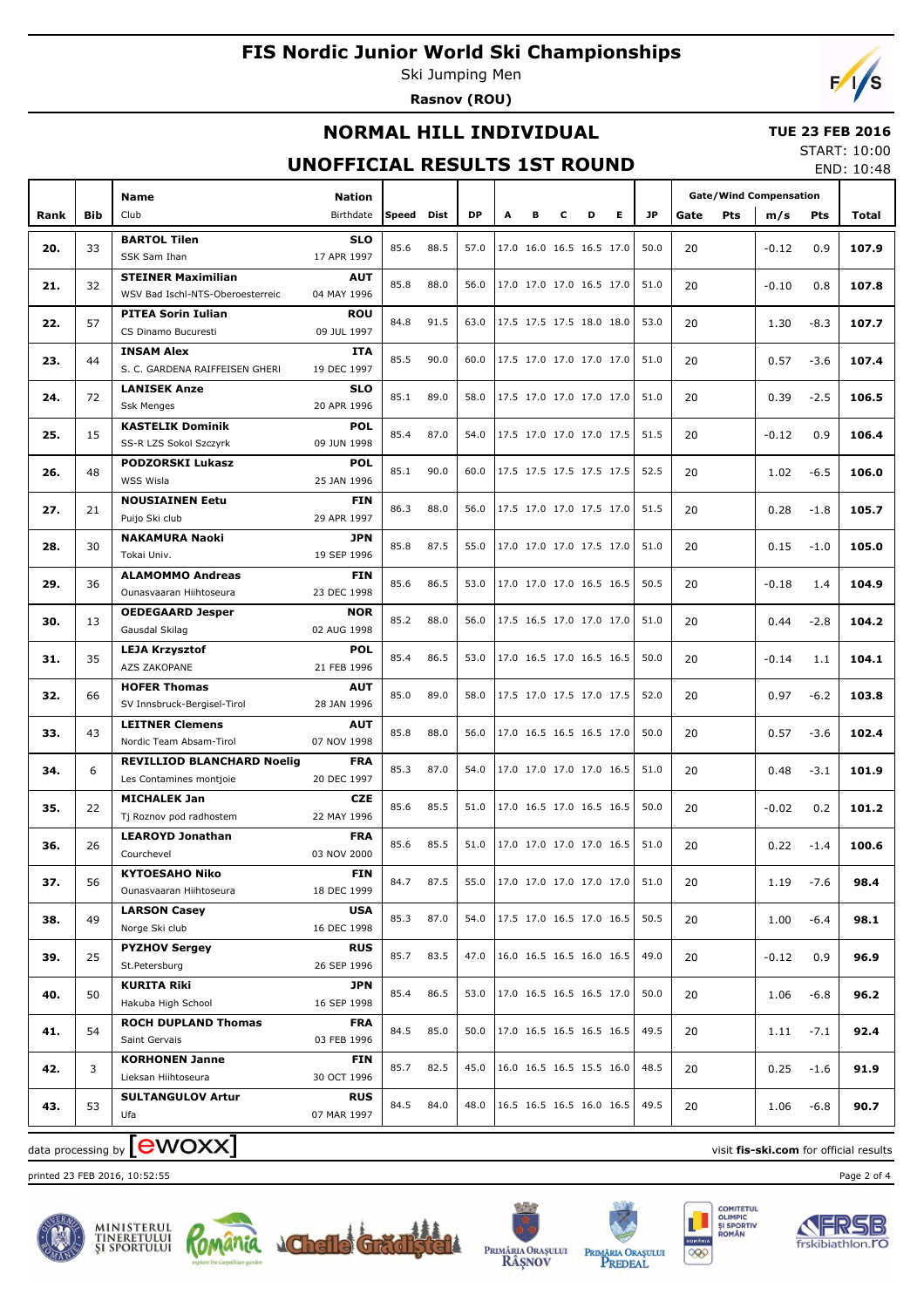Ski Jumping Men **Rasnov (ROU)**

# $\sqrt{2}$

## **NORMAL HILL INDIVIDUAL**

#### **TUE 23 FEB 2016** START: 10:00

## **UNOFFICIAL RESULTS 1ST ROUND**

END: 10:48

|      |            | Name                                              |                           |              |      |           |   |   |                          |                                                                  | <b>Gate/Wind Compensation</b> |      |            |         |            |       |
|------|------------|---------------------------------------------------|---------------------------|--------------|------|-----------|---|---|--------------------------|------------------------------------------------------------------|-------------------------------|------|------------|---------|------------|-------|
| Rank | <b>Bib</b> | Club                                              | Birthdate                 | <b>Speed</b> | Dist | <b>DP</b> | A | в | c                        | D<br>Е                                                           | <b>JP</b>                     | Gate | <b>Pts</b> | m/s     | <b>Pts</b> | Total |
|      |            | <b>BARTOL Tilen</b>                               | <b>SLO</b>                |              |      |           |   |   |                          |                                                                  |                               |      |            |         |            |       |
| 20.  | 33         | SSK Sam Ihan                                      | 17 APR 1997               | 85.6         | 88.5 | 57.0      |   |   |                          | 17.0 16.0 16.5 16.5 17.0                                         | 50.0                          | 20   |            | $-0.12$ | 0.9        | 107.9 |
| 21.  | 32         | <b>STEINER Maximilian</b>                         | <b>AUT</b>                | 85.8         | 88.0 | 56.0      |   |   |                          | 17.0 17.0 17.0 16.5 17.0                                         | 51.0                          | 20   |            | $-0.10$ | 0.8        | 107.8 |
|      |            | WSV Bad Ischl-NTS-Oberoesterreic                  | 04 MAY 1996               |              |      |           |   |   |                          |                                                                  |                               |      |            |         |            |       |
| 22.  | 57         | <b>PITEA Sorin Iulian</b>                         | <b>ROU</b>                | 84.8         | 91.5 | 63.0      |   |   |                          | 17.5 17.5 17.5 18.0 18.0                                         | 53.0                          | 20   |            | 1.30    | $-8.3$     | 107.7 |
|      |            | CS Dinamo Bucuresti                               | 09 JUL 1997               |              |      |           |   |   |                          |                                                                  |                               |      |            |         |            |       |
| 23.  | 44         | <b>INSAM Alex</b>                                 | <b>ITA</b>                | 85.5         | 90.0 | 60.0      |   |   |                          | 17.5 17.0 17.0 17.0 17.0                                         | 51.0                          | 20   |            | 0.57    | $-3.6$     | 107.4 |
|      |            | S. C. GARDENA RAIFFEISEN GHERI                    | 19 DEC 1997               |              |      |           |   |   |                          |                                                                  |                               |      |            |         |            |       |
| 24.  | 72         | <b>LANISEK Anze</b>                               | <b>SLO</b>                | 85.1         | 89.0 | 58.0      |   |   |                          | 17.5 17.0 17.0 17.0 17.0                                         | 51.0                          | 20   |            | 0.39    | $-2.5$     | 106.5 |
|      |            | <b>Ssk Menges</b>                                 | 20 APR 1996               |              |      |           |   |   |                          |                                                                  |                               |      |            |         |            |       |
| 25.  | 15         | <b>KASTELIK Dominik</b><br>SS-R LZS Sokol Szczyrk | <b>POL</b><br>09 JUN 1998 | 85.4         | 87.0 | 54.0      |   |   |                          | 17.5 17.0 17.0 17.0 17.5                                         | 51.5                          | 20   |            | $-0.12$ | 0.9        | 106.4 |
|      |            | <b>PODZORSKI Lukasz</b>                           | <b>POL</b>                |              |      |           |   |   |                          |                                                                  |                               |      |            |         |            |       |
| 26.  | 48         | WSS Wisla                                         | 25 JAN 1996               | 85.1         | 90.0 | 60.0      |   |   |                          | 17.5 17.5 17.5 17.5 17.5                                         | 52.5                          | 20   |            | 1.02    | $-6.5$     | 106.0 |
|      |            | <b>NOUSIAINEN Eetu</b>                            | <b>FIN</b>                |              |      |           |   |   |                          |                                                                  |                               |      |            |         |            |       |
| 27.  | 21         | Puijo Ski club                                    | 29 APR 1997               | 86.3         | 88.0 | 56.0      |   |   |                          | 17.5 17.0 17.0 17.5 17.0                                         | 51.5                          | 20   |            | 0.28    | $-1.8$     | 105.7 |
|      |            | <b>NAKAMURA Naoki</b>                             | <b>JPN</b>                |              |      |           |   |   |                          |                                                                  |                               |      |            |         |            |       |
| 28.  | 30         | Tokai Univ.                                       | 19 SEP 1996               | 85.8         | 87.5 | 55.0      |   |   |                          | 17.0 17.0 17.0 17.5 17.0                                         | 51.0                          | 20   |            | 0.15    | $-1.0$     | 105.0 |
|      |            | <b>ALAMOMMO Andreas</b>                           | <b>FIN</b>                |              |      |           |   |   |                          |                                                                  |                               |      |            |         |            |       |
| 29.  | 36         | Ounasvaaran Hiihtoseura<br>23 DEC 1998            | 85.6                      | 86.5         | 53.0 |           |   |   | 17.0 17.0 17.0 16.5 16.5 | 50.5                                                             | 20                            |      | $-0.18$    | 1.4     | 104.9      |       |
|      |            | <b>OEDEGAARD Jesper</b>                           | <b>NOR</b>                |              |      |           |   |   |                          |                                                                  |                               |      |            |         |            |       |
| 30.  | 13         | Gausdal Skilag                                    | 02 AUG 1998               | 85.2         | 88.0 | 56.0      |   |   |                          | 17.5 16.5 17.0 17.0 17.0                                         | 51.0                          | 20   |            | 0.44    | $-2.8$     | 104.2 |
|      |            | <b>LEJA Krzysztof</b>                             | <b>POL</b>                | 85.4         | 86.5 | 53.0      |   |   |                          | 17.0 16.5 17.0 16.5 16.5                                         | 50.0                          |      |            |         |            |       |
| 31.  | 35         | AZS ZAKOPANE                                      | 21 FEB 1996               |              |      |           |   |   |                          |                                                                  |                               | 20   |            | $-0.14$ | 1.1        | 104.1 |
| 32.  | 66         | <b>HOFER Thomas</b>                               | <b>AUT</b>                | 85.0         | 89.0 | 58.0      |   |   |                          | 17.5 17.0 17.5 17.0 17.5                                         | 52.0                          | 20   |            | 0.97    | $-6.2$     | 103.8 |
|      |            | SV Innsbruck-Bergisel-Tirol                       | 28 JAN 1996               |              |      |           |   |   |                          |                                                                  |                               |      |            |         |            |       |
| 33.  | 43         | <b>LEITNER Clemens</b>                            | <b>AUT</b>                | 85.8         | 88.0 | 56.0      |   |   |                          | 17.0 16.5 16.5 16.5 17.0                                         | 50.0                          | 20   |            | 0.57    | $-3.6$     | 102.4 |
|      |            | Nordic Team Absam-Tirol                           | 07 NOV 1998               |              |      |           |   |   |                          |                                                                  |                               |      |            |         |            |       |
| 34.  | 6          | <b>REVILLIOD BLANCHARD Noelig</b>                 | <b>FRA</b>                | 85.3         | 87.0 | 54.0      |   |   |                          | 17.0 17.0 17.0 17.0 16.5                                         | 51.0                          | 20   |            | 0.48    | $-3.1$     | 101.9 |
|      |            | Les Contamines montjoie                           | 20 DEC 1997               |              |      |           |   |   |                          |                                                                  |                               |      |            |         |            |       |
| 35.  | 22         | <b>MICHALEK Jan</b>                               | <b>CZE</b>                | 85.6         | 85.5 | 51.0      |   |   |                          | 17.0 16.5 17.0 16.5 16.5                                         | 50.0                          | 20   |            | $-0.02$ | 0.2        | 101.2 |
|      |            | Tj Roznov pod radhostem                           | 22 MAY 1996               |              |      |           |   |   |                          |                                                                  |                               |      |            |         |            |       |
| 36.  | 26         | <b>LEAROYD Jonathan</b><br>Courchevel             | <b>FRA</b><br>03 NOV 2000 | 85.6         | 85.5 | 51.0      |   |   |                          | 17.0 17.0 17.0 17.0 16.5                                         | 51.0                          | 20   |            | 0.22    | $-1.4$     | 100.6 |
|      |            | <b>KYTOESAHO Niko</b>                             | <b>FIN</b>                |              |      |           |   |   |                          |                                                                  |                               |      |            |         |            |       |
| 37.  | 56         | Ounasvaaran Hiihtoseura                           | 18 DEC 1999               | 84.7         | 87.5 |           |   |   |                          | 55.0   17.0 17.0 17.0 17.0 17.0                                  | 51.0                          | 20   |            | 1.19    | $-7.6$     | 98.4  |
|      |            | <b>LARSON Casey</b>                               | <b>USA</b>                |              |      |           |   |   |                          |                                                                  |                               |      |            |         |            |       |
| 38.  | 49         | Norge Ski club                                    | 16 DEC 1998               | 85.3         | 87.0 | 54.0      |   |   |                          | $\begin{bmatrix} 17.5 & 17.0 & 16.5 & 17.0 & 16.5 \end{bmatrix}$ | 50.5                          | 20   |            | 1.00    | $-6.4$     | 98.1  |
|      |            | <b>PYZHOV Sergey</b>                              | <b>RUS</b>                |              |      |           |   |   |                          |                                                                  |                               |      |            |         |            |       |
| 39.  | 25         | St.Petersburg                                     | 26 SEP 1996               | 85.7         | 83.5 | 47.0      |   |   |                          | 16.0 16.5 16.5 16.0 16.5                                         | 49.0                          | 20   |            | -0.12   | 0.9        | 96.9  |
|      |            | <b>KURITA Riki</b>                                | JPN                       |              |      |           |   |   |                          |                                                                  |                               |      |            |         |            |       |
| 40.  | 50         | Hakuba High School                                | 16 SEP 1998               | 85.4         | 86.5 | 53.0      |   |   |                          | 17.0 16.5 16.5 16.5 17.0                                         | 50.0                          | 20   |            | 1.06    | $-6.8$     | 96.2  |
|      |            | <b>ROCH DUPLAND Thomas</b>                        | <b>FRA</b>                | 84.5         | 85.0 | 50.0      |   |   |                          | 17.0 16.5 16.5 16.5 16.5                                         |                               |      |            |         |            |       |
| 41.  | 54         | Saint Gervais                                     | 03 FEB 1996               |              |      |           |   |   |                          |                                                                  | 49.5                          | 20   |            | 1.11    | $-7.1$     | 92.4  |
|      | 3          | <b>KORHONEN Janne</b>                             | FIN                       | 85.7         | 82.5 | 45.0      |   |   |                          | 16.0 16.5 16.5 15.5 16.0                                         | 48.5                          | 20   |            |         |            |       |
| 42.  |            | Lieksan Hiihtoseura                               | 30 OCT 1996               |              |      |           |   |   |                          |                                                                  |                               |      |            | 0.25    | $-1.6$     | 91.9  |
| 43.  | 53         | <b>SULTANGULOV Artur</b>                          | <b>RUS</b>                | 84.5         | 84.0 | 48.0      |   |   |                          | 16.5 16.5 16.5 16.0 16.5                                         | 49.5                          | 20   |            | 1.06    | $-6.8$     | 90.7  |
|      |            | Ufa                                               | 07 MAR 1997               |              |      |           |   |   |                          |                                                                  |                               |      |            |         |            |       |

printed 23 FEB 2016, 10:52:55 Page 2 of 4















data processing by **CWOXX** and  $\overline{C}$  and  $\overline{C}$  and  $\overline{C}$  and  $\overline{C}$  and  $\overline{C}$  and  $\overline{C}$  and  $\overline{C}$  and  $\overline{C}$  and  $\overline{C}$  and  $\overline{C}$  and  $\overline{C}$  and  $\overline{C}$  and  $\overline{C}$  and  $\overline{C}$  and  $\overline{C}$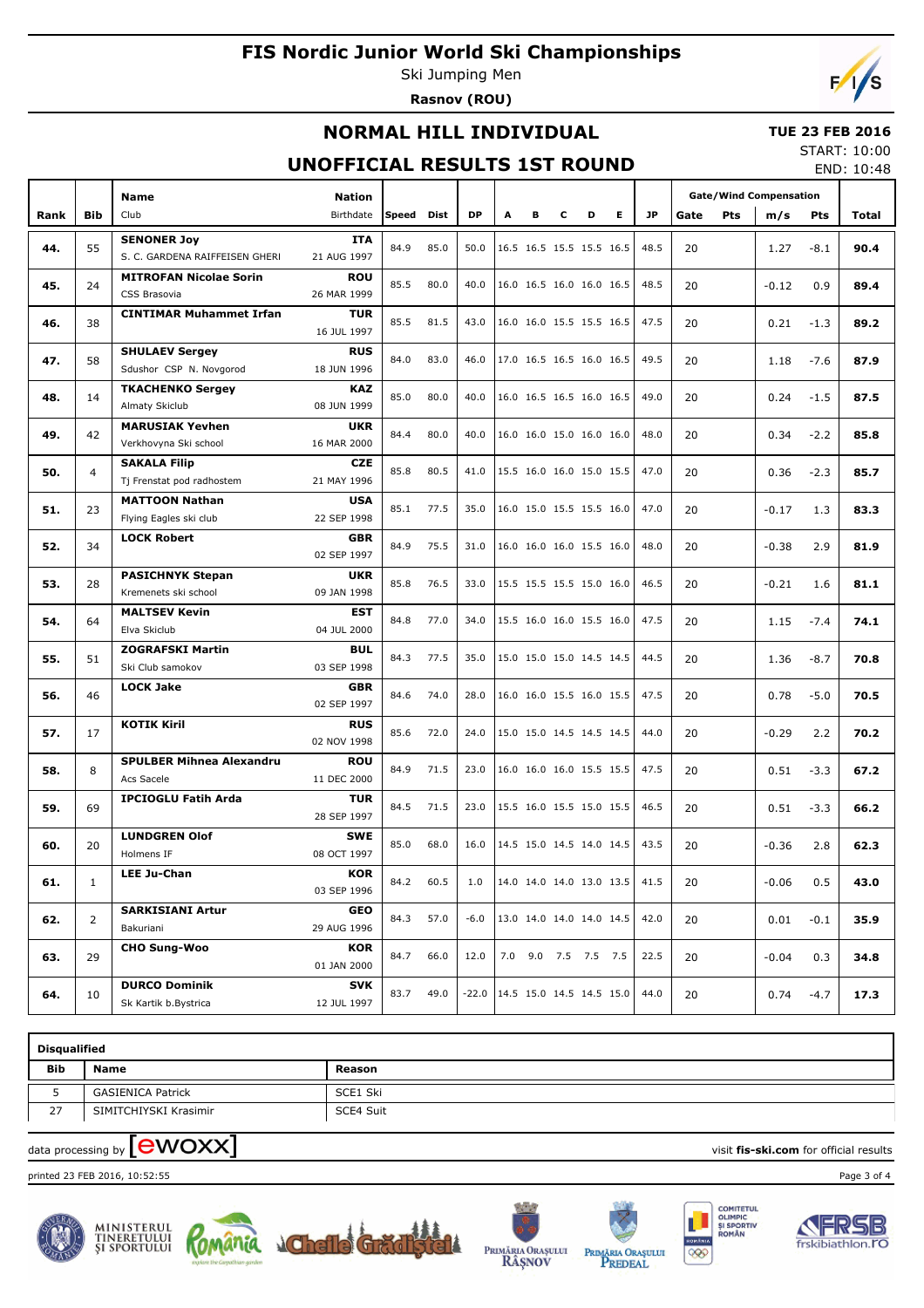Ski Jumping Men **Rasnov (ROU)**



### **NORMAL HILL INDIVIDUAL**

#### **TUE 23 FEB 2016**

### **UNOFFICIAL RESULTS 1ST ROUND**

START: 10:00 END: 10:48

|      |                | Name                                        | <b>Nation</b>             |       |             |           |   |                          |   |   |    |      | <b>Gate/Wind Compensation</b> |     |         |            |       |
|------|----------------|---------------------------------------------|---------------------------|-------|-------------|-----------|---|--------------------------|---|---|----|------|-------------------------------|-----|---------|------------|-------|
| Rank | <b>Bib</b>     | Club                                        | Birthdate                 | Speed | <b>Dist</b> | <b>DP</b> | А | в                        | c | D | E. | JP.  | Gate                          | Pts | m/s     | <b>Pts</b> | Total |
|      |                | <b>SENONER Joy</b>                          | <b>ITA</b>                |       |             |           |   |                          |   |   |    |      |                               |     |         |            |       |
| 44.  | 55             | S. C. GARDENA RAIFFEISEN GHERI              | 21 AUG 1997               | 84.9  | 85.0        | 50.0      |   | 16.5 16.5 15.5 15.5 16.5 |   |   |    | 48.5 | 20                            |     | 1.27    | $-8.1$     | 90.4  |
|      |                | <b>MITROFAN Nicolae Sorin</b>               | <b>ROU</b>                |       |             |           |   |                          |   |   |    |      |                               |     |         |            |       |
| 45.  | 24             | CSS Brasovia                                | 26 MAR 1999               | 85.5  | 80.0        | 40.0      |   | 16.0 16.5 16.0 16.0 16.5 |   |   |    | 48.5 | 20                            |     | $-0.12$ | 0.9        | 89.4  |
| 46.  | 38             | <b>CINTIMAR Muhammet Irfan</b>              | <b>TUR</b>                | 85.5  | 81.5        | 43.0      |   | 16.0 16.0 15.5 15.5 16.5 |   |   |    | 47.5 | 20                            |     |         |            | 89.2  |
|      |                |                                             | 16 JUL 1997               |       |             |           |   |                          |   |   |    |      |                               |     | 0.21    | $-1.3$     |       |
| 47.  | 58             | <b>SHULAEV Sergey</b>                       | <b>RUS</b>                | 84.0  | 83.0        | 46.0      |   | 17.0 16.5 16.5 16.0 16.5 |   |   |    | 49.5 | 20                            |     | 1.18    | $-7.6$     | 87.9  |
|      |                | Sdushor CSP N. Novgorod                     | 18 JUN 1996               |       |             |           |   |                          |   |   |    |      |                               |     |         |            |       |
| 48.  | 14             | <b>TKACHENKO Sergey</b>                     | <b>KAZ</b>                | 85.0  | 80.0        | 40.0      |   | 16.0 16.5 16.5 16.0 16.5 |   |   |    | 49.0 | 20                            |     | 0.24    | $-1.5$     | 87.5  |
|      |                | Almaty Skiclub                              | 08 JUN 1999               |       |             |           |   |                          |   |   |    |      |                               |     |         |            |       |
| 49.  | 42             | <b>MARUSIAK Yevhen</b>                      | <b>UKR</b>                | 84.4  | 80.0        | 40.0      |   | 16.0 16.0 15.0 16.0 16.0 |   |   |    | 48.0 | 20                            |     | 0.34    | $-2.2$     | 85.8  |
|      |                | Verkhovyna Ski school                       | 16 MAR 2000               |       |             |           |   |                          |   |   |    |      |                               |     |         |            |       |
| 50.  | 4              | <b>SAKALA Filip</b>                         | <b>CZE</b>                | 85.8  | 80.5        | 41.0      |   | 15.5 16.0 16.0 15.0 15.5 |   |   |    | 47.0 | 20                            |     | 0.36    | $-2.3$     | 85.7  |
|      |                | Tj Frenstat pod radhostem                   | 21 MAY 1996               |       |             |           |   |                          |   |   |    |      |                               |     |         |            |       |
| 51.  | 23             | <b>MATTOON Nathan</b>                       | <b>USA</b>                | 85.1  | 77.5        | 35.0      |   | 16.0 15.0 15.5 15.5 16.0 |   |   |    | 47.0 | 20                            |     | $-0.17$ | 1.3        | 83.3  |
|      |                | Flying Eagles ski club                      | 22 SEP 1998               |       |             |           |   |                          |   |   |    |      |                               |     |         |            |       |
| 52.  | 34             | <b>LOCK Robert</b>                          | <b>GBR</b>                | 84.9  | 75.5        | 31.0      |   | 16.0 16.0 16.0 15.5 16.0 |   |   |    | 48.0 | 20                            |     | $-0.38$ | 2.9        | 81.9  |
|      |                |                                             | 02 SEP 1997               |       |             |           |   |                          |   |   |    |      |                               |     |         |            |       |
| 53.  | 28             | <b>PASICHNYK Stepan</b>                     | <b>UKR</b>                | 85.8  | 76.5        | 33.0      |   | 15.5 15.5 15.5 15.0 16.0 |   |   |    | 46.5 | 20                            |     | $-0.21$ | 1.6        | 81.1  |
|      |                | Kremenets ski school                        | 09 JAN 1998               |       |             |           |   |                          |   |   |    |      |                               |     |         |            |       |
| 54.  | 64             | <b>MALTSEV Kevin</b><br>Elva Skiclub        | <b>EST</b>                | 84.8  | 77.0        | 34.0      |   | 15.5 16.0 16.0 15.5 16.0 |   |   |    | 47.5 | 20                            |     | 1.15    | $-7.4$     | 74.1  |
|      |                |                                             | 04 JUL 2000               |       |             |           |   |                          |   |   |    |      |                               |     |         |            |       |
| 55.  | 51             | <b>ZOGRAFSKI Martin</b><br>Ski Club samokov | <b>BUL</b><br>03 SEP 1998 | 84.3  | 77.5        | 35.0      |   | 15.0 15.0 15.0 14.5 14.5 |   |   |    | 44.5 | 20                            |     | 1.36    | $-8.7$     | 70.8  |
|      |                | <b>LOCK Jake</b>                            | <b>GBR</b>                |       |             |           |   |                          |   |   |    |      |                               |     |         |            |       |
| 56.  | 46             |                                             | 02 SEP 1997               | 84.6  | 74.0        | 28.0      |   | 16.0 16.0 15.5 16.0 15.5 |   |   |    | 47.5 | 20                            |     | 0.78    | $-5.0$     | 70.5  |
|      |                | <b>KOTIK Kiril</b>                          | <b>RUS</b>                |       |             |           |   |                          |   |   |    |      |                               |     |         |            |       |
| 57.  | 17             |                                             | 02 NOV 1998               | 85.6  | 72.0        | 24.0      |   | 15.0 15.0 14.5 14.5 14.5 |   |   |    | 44.0 | 20                            |     | $-0.29$ | 2.2        | 70.2  |
|      |                | <b>SPULBER Mihnea Alexandru</b>             | <b>ROU</b>                |       |             |           |   |                          |   |   |    |      |                               |     |         |            |       |
| 58.  | 8              | Acs Sacele                                  | 11 DEC 2000               | 84.9  | 71.5        | 23.0      |   | 16.0 16.0 16.0 15.5 15.5 |   |   |    | 47.5 | 20                            |     | 0.51    | $-3.3$     | 67.2  |
|      |                | <b>IPCIOGLU Fatih Arda</b>                  | <b>TUR</b>                |       |             |           |   |                          |   |   |    |      |                               |     |         |            |       |
| 59.  | 69             |                                             | 28 SEP 1997               | 84.5  | 71.5        | 23.0      |   | 15.5 16.0 15.5 15.0 15.5 |   |   |    | 46.5 | 20                            |     | 0.51    | $-3.3$     | 66.2  |
|      |                | <b>LUNDGREN Olof</b>                        | <b>SWE</b>                |       |             |           |   |                          |   |   |    |      |                               |     |         |            |       |
| 60.  | 20             | Holmens IF                                  | 08 OCT 1997               | 85.0  | 68.0        | 16.0      |   | 14.5 15.0 14.5 14.0 14.5 |   |   |    | 43.5 | 20                            |     | $-0.36$ | 2.8        | 62.3  |
|      |                | <b>LEE Ju-Chan</b>                          | KOR                       |       |             |           |   |                          |   |   |    |      |                               |     |         |            |       |
| 61.  | $\mathbf{1}$   |                                             | 03 SEP 1996               | 84.2  | 60.5        | 1.0       |   | 14.0 14.0 14.0 13.0 13.5 |   |   |    | 41.5 | 20                            |     | $-0.06$ | 0.5        | 43.0  |
|      |                | <b>SARKISIANI Artur</b>                     | GEO                       |       |             |           |   |                          |   |   |    |      |                               |     |         |            |       |
| 62.  | $\overline{2}$ | Bakuriani                                   | 29 AUG 1996               | 84.3  | 57.0        | $-6.0$    |   | 13.0 14.0 14.0 14.0 14.5 |   |   |    | 42.0 | 20                            |     | 0.01    | $-0.1$     | 35.9  |
|      |                | <b>CHO Sung-Woo</b>                         | <b>KOR</b>                |       |             |           |   |                          |   |   |    |      |                               |     |         |            |       |
| 63.  | 29             |                                             | 01 JAN 2000               | 84.7  | 66.0        | 12.0      |   | 7.0 9.0 7.5 7.5 7.5      |   |   |    | 22.5 | 20                            |     | $-0.04$ | 0.3        | 34.8  |
|      |                | <b>DURCO Dominik</b>                        | <b>SVK</b>                | 83.7  | 49.0        | $-22.0$   |   | 14.5 15.0 14.5 14.5 15.0 |   |   |    | 44.0 |                               |     |         |            |       |
| 64.  | 10             | Sk Kartik b.Bystrica                        | 12 JUL 1997               |       |             |           |   |                          |   |   |    |      | 20                            |     | 0.74    | $-4.7$     | 17.3  |

| <b>Disqualified</b> |                          |           |  |  |  |  |  |  |  |  |  |
|---------------------|--------------------------|-----------|--|--|--|--|--|--|--|--|--|
| <b>Bib</b><br>Name  |                          | Reason    |  |  |  |  |  |  |  |  |  |
|                     | <b>GASIENICA Patrick</b> | SCE1 Ski  |  |  |  |  |  |  |  |  |  |
| 27                  | SIMITCHIYSKI Krasimir    | SCE4 Suit |  |  |  |  |  |  |  |  |  |

 $\alpha$  data processing by  $\boxed{\text{ewOX}}$ 

printed 23 FEB 2016, 10:52:55 Page 3 of 4